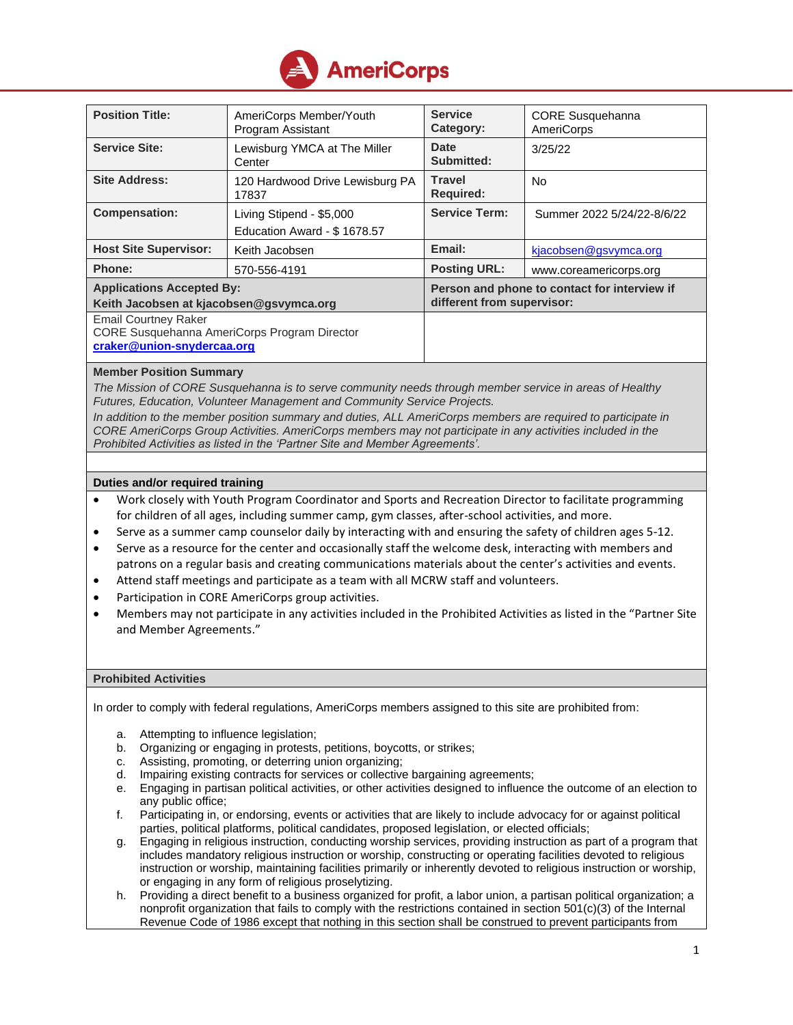

| <b>Position Title:</b>                                                                                    | AmeriCorps Member/Youth<br>Program Assistant | <b>Service</b><br>Category:                                                | <b>CORE Susquehanna</b><br><b>AmeriCorps</b> |
|-----------------------------------------------------------------------------------------------------------|----------------------------------------------|----------------------------------------------------------------------------|----------------------------------------------|
| <b>Service Site:</b>                                                                                      | Lewisburg YMCA at The Miller<br>Center       | <b>Date</b><br>Submitted:                                                  | 3/25/22                                      |
| <b>Site Address:</b>                                                                                      | 120 Hardwood Drive Lewisburg PA<br>17837     | <b>Travel</b><br><b>Required:</b>                                          | <b>No</b>                                    |
| <b>Compensation:</b>                                                                                      | Living Stipend - \$5,000                     | <b>Service Term:</b>                                                       | Summer 2022 5/24/22-8/6/22                   |
|                                                                                                           | Education Award - \$1678.57                  |                                                                            |                                              |
| <b>Host Site Supervisor:</b>                                                                              | Keith Jacobsen                               | Email:                                                                     | kjacobsen@gsvymca.org                        |
| Phone:                                                                                                    | 570-556-4191                                 | <b>Posting URL:</b>                                                        | www.coreamericorps.org                       |
| <b>Applications Accepted By:</b><br>Keith Jacobsen at kjacobsen@gsvymca.org                               |                                              | Person and phone to contact for interview if<br>different from supervisor: |                                              |
| <b>Email Courtney Raker</b><br>CORE Susquehanna AmeriCorps Program Director<br>craker@union-snydercaa.org |                                              |                                                                            |                                              |

### **Member Position Summary**

*The Mission of CORE Susquehanna is to serve community needs through member service in areas of Healthy Futures, Education, Volunteer Management and Community Service Projects.*

*In addition to the member position summary and duties, ALL AmeriCorps members are required to participate in CORE AmeriCorps Group Activities. AmeriCorps members may not participate in any activities included in the Prohibited Activities as listed in the 'Partner Site and Member Agreements'.*

#### **Duties and/or required training**

- Work closely with Youth Program Coordinator and Sports and Recreation Director to facilitate programming for children of all ages, including summer camp, gym classes, after-school activities, and more.
- Serve as a summer camp counselor daily by interacting with and ensuring the safety of children ages 5-12.
- Serve as a resource for the center and occasionally staff the welcome desk, interacting with members and patrons on a regular basis and creating communications materials about the center's activities and events.
- Attend staff meetings and participate as a team with all MCRW staff and volunteers.
- Participation in CORE AmeriCorps group activities.
- Members may not participate in any activities included in the Prohibited Activities as listed in the "Partner Site and Member Agreements."

#### **Prohibited Activities**

In order to comply with federal regulations, AmeriCorps members assigned to this site are prohibited from:

- a. Attempting to influence legislation;
- b. Organizing or engaging in protests, petitions, boycotts, or strikes;
- c. Assisting, promoting, or deterring union organizing;
- d. Impairing existing contracts for services or collective bargaining agreements;
- e. Engaging in partisan political activities, or other activities designed to influence the outcome of an election to any public office;
- f. Participating in, or endorsing, events or activities that are likely to include advocacy for or against political parties, political platforms, political candidates, proposed legislation, or elected officials;
- g. Engaging in religious instruction, conducting worship services, providing instruction as part of a program that includes mandatory religious instruction or worship, constructing or operating facilities devoted to religious instruction or worship, maintaining facilities primarily or inherently devoted to religious instruction or worship, or engaging in any form of religious proselytizing.
- h. Providing a direct benefit to a business organized for profit, a labor union, a partisan political organization; a nonprofit organization that fails to comply with the restrictions contained in section 501(c)(3) of the Internal Revenue Code of 1986 except that nothing in this section shall be construed to prevent participants from